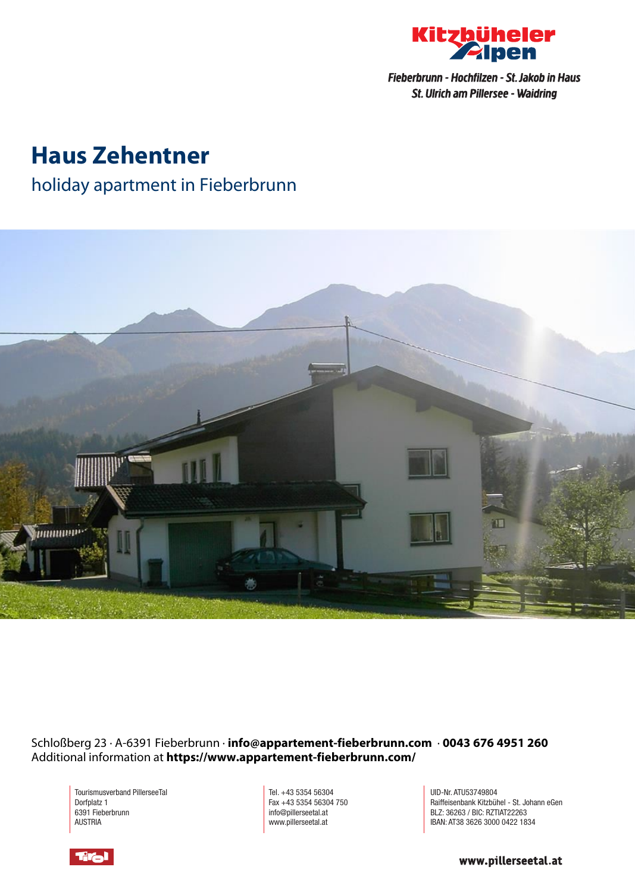

Fieberbrunn - Hochfilzen - St. Jakob in Haus St. Ulrich am Pillersee - Waidring

# **Haus Zehentner**

#### holiday apartment in Fieberbrunn



Schloßberg 23 · A-6391 Fieberbrunn · **info@appartement-fieberbrunn.com** · **0043 676 4951 260** Additional information at **https://www.appartement-fieberbrunn.com/**

Tourismusverband PillerseeTal Dorfplatz 1 6391 Fieberbrunn AUSTRIA

Tel. +43 5354 56304 Fax +43 5354 56304 750 info@pillerseetal.at www.pillerseetal.at

UID-Nr. ATU53749804 Raiffeisenbank Kitzbühel - St. Johann eGen BLZ: 36263 / BIC: RZTIAT22263 IBAN: AT38 3626 3000 0422 1834



www.pillerseetal.at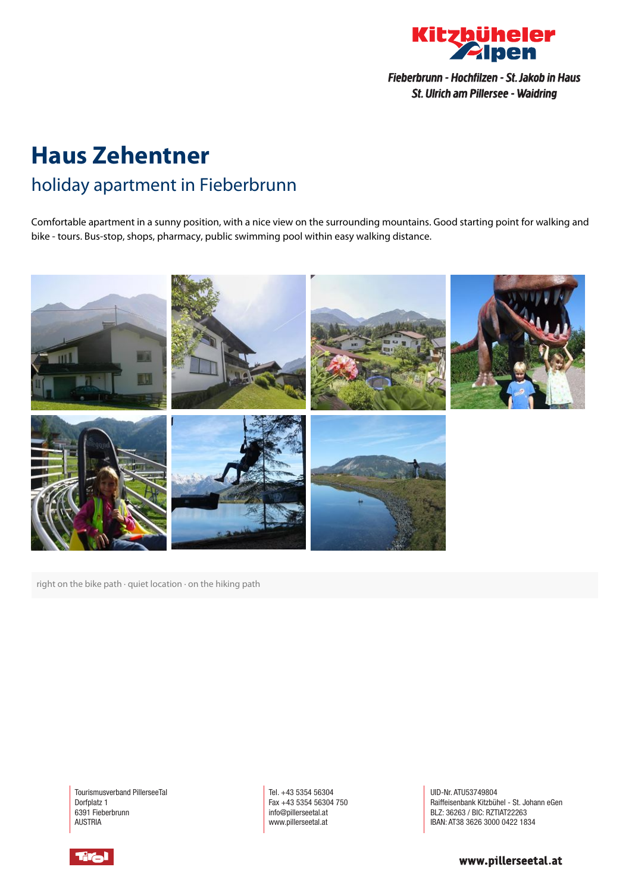

Fieberbrunn - Hochfilzen - St. Jakob in Haus St. Ulrich am Pillersee - Waidring

## **Haus Zehentner** holiday apartment in Fieberbrunn

Comfortable apartment in <sup>a</sup> sunny position, with <sup>a</sup> nice view on the surrounding mountains. Good starting point for walking and bike - tours. Bus-stop, shops, pharmacy, public swimming pool within easy walking distance.



right on the bike path · quiet location · on the hiking path

Tourismusverband PillerseeTal Dorfplatz 1 6391 Fieberbrunn AUSTRIA

Tel. +43 5354 56304 Fax +43 5354 56304 750 info@pillerseetal.at www.pillerseetal.at

UID-Nr. ATU53749804 Raiffeisenbank Kitzbühel - St. Johann eGen BLZ: 36263 / BIC: RZTIAT22263 IBAN: AT38 3626 3000 0422 1834